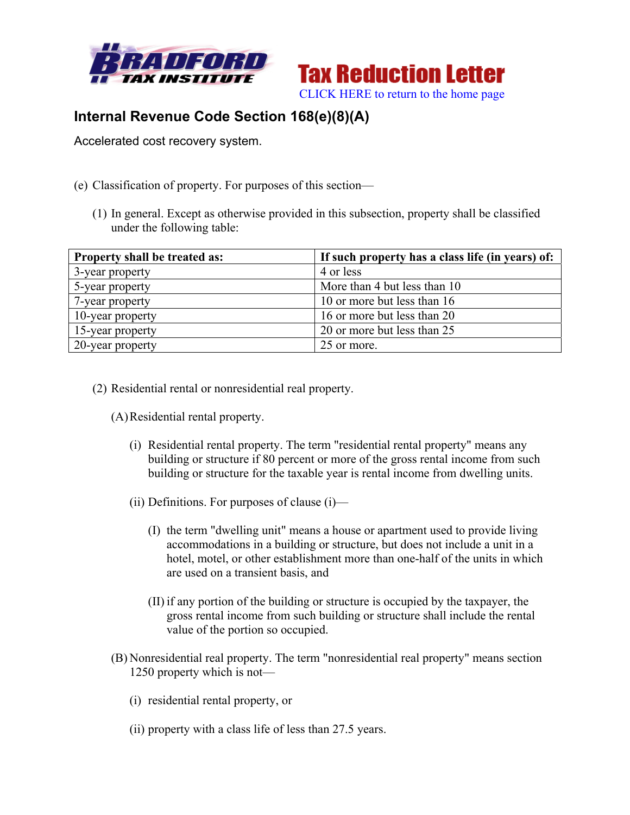



## **Internal Revenue Code Section 168(e)(8)(A)**

Accelerated cost recovery system.

- (e) Classification of property. For purposes of this section—
	- (1) In general. Except as otherwise provided in this subsection, property shall be classified under the following table:

| <b>Property shall be treated as:</b> | If such property has a class life (in years) of: |
|--------------------------------------|--------------------------------------------------|
| 3-year property                      | 4 or less                                        |
| 5-year property                      | More than 4 but less than 10                     |
| 7-year property                      | 10 or more but less than 16                      |
| 10-year property                     | 16 or more but less than 20                      |
| 15-year property                     | 20 or more but less than 25                      |
| 20-year property                     | 25 or more.                                      |

(2) Residential rental or nonresidential real property.

(A)Residential rental property.

- (i) Residential rental property. The term "residential rental property" means any building or structure if 80 percent or more of the gross rental income from such building or structure for the taxable year is rental income from dwelling units.
- (ii) Definitions. For purposes of clause  $(i)$ 
	- (I) the term "dwelling unit" means a house or apartment used to provide living accommodations in a building or structure, but does not include a unit in a hotel, motel, or other establishment more than one-half of the units in which are used on a transient basis, and
	- (II) if any portion of the building or structure is occupied by the taxpayer, the gross rental income from such building or structure shall include the rental value of the portion so occupied.
- (B) Nonresidential real property. The term "nonresidential real property" means section 1250 property which is not—
	- (i) residential rental property, or
	- (ii) property with a class life of less than 27.5 years.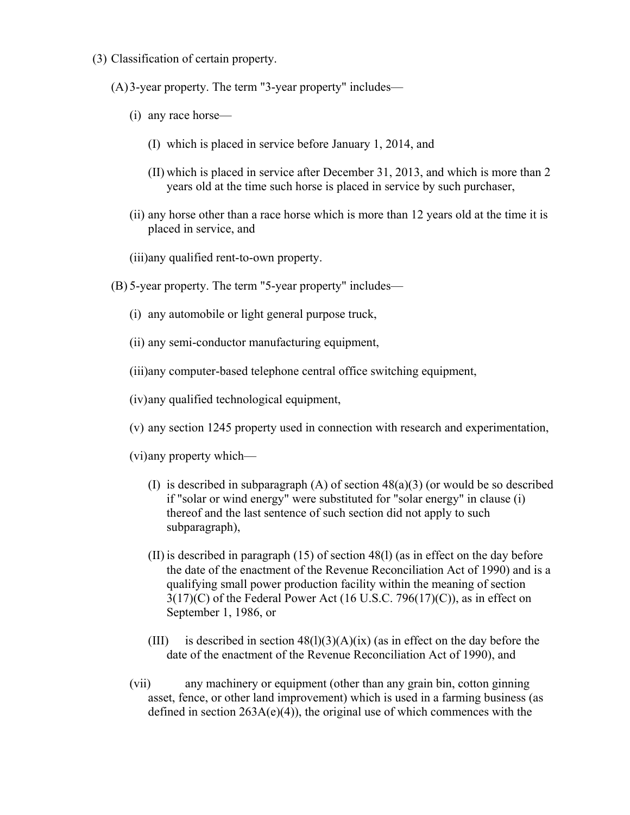(3) Classification of certain property.

(A)3-year property. The term "3-year property" includes—

- (i) any race horse—
	- (I) which is placed in service before January 1, 2014, and
	- (II) which is placed in service after December 31, 2013, and which is more than 2 years old at the time such horse is placed in service by such purchaser,
- (ii) any horse other than a race horse which is more than 12 years old at the time it is placed in service, and

(iii)any qualified rent-to-own property.

- (B) 5-year property. The term "5-year property" includes—
	- (i) any automobile or light general purpose truck,
	- (ii) any semi-conductor manufacturing equipment,

(iii)any computer-based telephone central office switching equipment,

(iv)any qualified technological equipment,

(v) any section 1245 property used in connection with research and experimentation,

(vi)any property which—

- (I) is described in subparagraph  $(A)$  of section  $48(a)(3)$  (or would be so described if "solar or wind energy" were substituted for "solar energy" in clause (i) thereof and the last sentence of such section did not apply to such subparagraph),
- (II) is described in paragraph (15) of section 48(l) (as in effect on the day before the date of the enactment of the Revenue Reconciliation Act of 1990) and is a qualifying small power production facility within the meaning of section  $3(17)(C)$  of the Federal Power Act (16 U.S.C. 796(17)(C)), as in effect on September 1, 1986, or
- (III) is described in section  $48(1)(3)(A)(ix)$  (as in effect on the day before the date of the enactment of the Revenue Reconciliation Act of 1990), and
- (vii) any machinery or equipment (other than any grain bin, cotton ginning asset, fence, or other land improvement) which is used in a farming business (as defined in section  $263A(e)(4)$ , the original use of which commences with the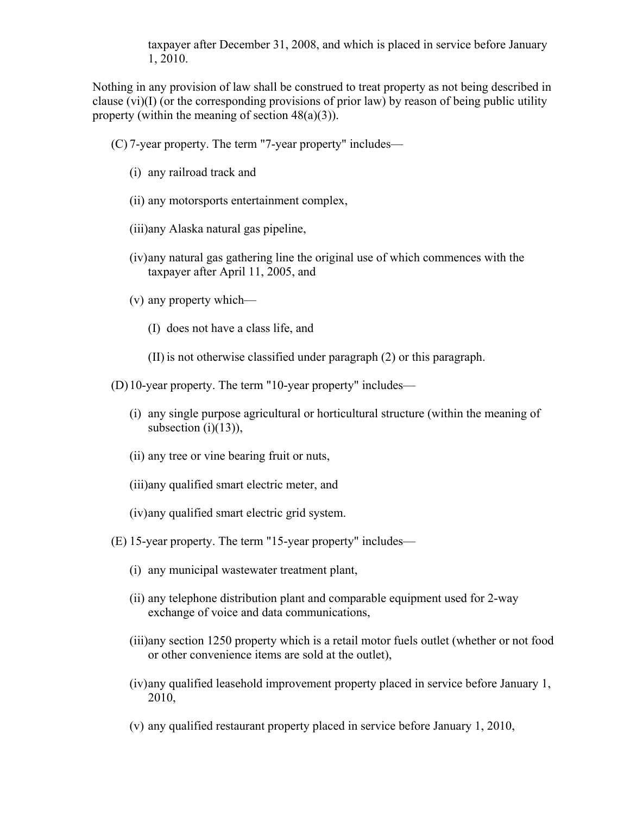taxpayer after December 31, 2008, and which is placed in service before January 1, 2010.

Nothing in any provision of law shall be construed to treat property as not being described in clause (vi)(I) (or the corresponding provisions of prior law) by reason of being public utility property (within the meaning of section  $48(a)(3)$ ).

(C) 7-year property. The term "7-year property" includes—

- (i) any railroad track and
- (ii) any motorsports entertainment complex,
- (iii)any Alaska natural gas pipeline,
- (iv)any natural gas gathering line the original use of which commences with the taxpayer after April 11, 2005, and
- (v) any property which—
	- (I) does not have a class life, and
	- (II) is not otherwise classified under paragraph (2) or this paragraph.

(D)10-year property. The term "10-year property" includes—

- (i) any single purpose agricultural or horticultural structure (within the meaning of subsection  $(i)(13)$ ),
- (ii) any tree or vine bearing fruit or nuts,
- (iii)any qualified smart electric meter, and
- (iv)any qualified smart electric grid system.
- (E) 15-year property. The term "15-year property" includes—
	- (i) any municipal wastewater treatment plant,
	- (ii) any telephone distribution plant and comparable equipment used for 2-way exchange of voice and data communications,
	- (iii)any section 1250 property which is a retail motor fuels outlet (whether or not food or other convenience items are sold at the outlet),
	- (iv)any qualified leasehold improvement property placed in service before January 1, 2010,
	- (v) any qualified restaurant property placed in service before January 1, 2010,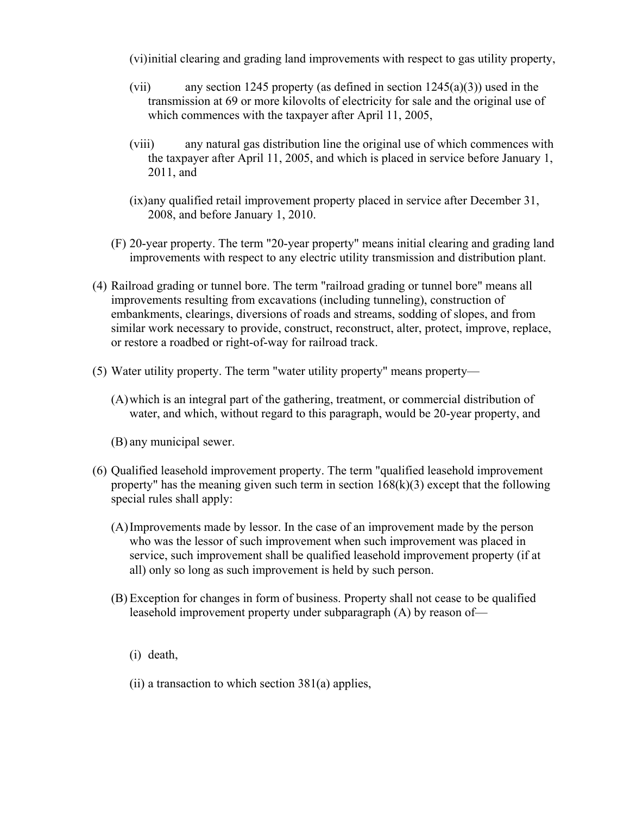(vi)initial clearing and grading land improvements with respect to gas utility property,

- (vii) any section 1245 property (as defined in section  $1245(a)(3)$ ) used in the transmission at 69 or more kilovolts of electricity for sale and the original use of which commences with the taxpayer after April 11, 2005,
- (viii) any natural gas distribution line the original use of which commences with the taxpayer after April 11, 2005, and which is placed in service before January 1, 2011, and
- (ix)any qualified retail improvement property placed in service after December 31, 2008, and before January 1, 2010.
- (F) 20-year property. The term "20-year property" means initial clearing and grading land improvements with respect to any electric utility transmission and distribution plant.
- (4) Railroad grading or tunnel bore. The term "railroad grading or tunnel bore" means all improvements resulting from excavations (including tunneling), construction of embankments, clearings, diversions of roads and streams, sodding of slopes, and from similar work necessary to provide, construct, reconstruct, alter, protect, improve, replace, or restore a roadbed or right-of-way for railroad track.
- (5) Water utility property. The term "water utility property" means property—
	- (A)which is an integral part of the gathering, treatment, or commercial distribution of water, and which, without regard to this paragraph, would be 20-year property, and
	- (B) any municipal sewer.
- (6) Qualified leasehold improvement property. The term "qualified leasehold improvement property" has the meaning given such term in section  $168(k)(3)$  except that the following special rules shall apply:
	- (A)Improvements made by lessor. In the case of an improvement made by the person who was the lessor of such improvement when such improvement was placed in service, such improvement shall be qualified leasehold improvement property (if at all) only so long as such improvement is held by such person.
	- (B) Exception for changes in form of business. Property shall not cease to be qualified leasehold improvement property under subparagraph (A) by reason of—
		- (i) death,
		- (ii) a transaction to which section  $381(a)$  applies,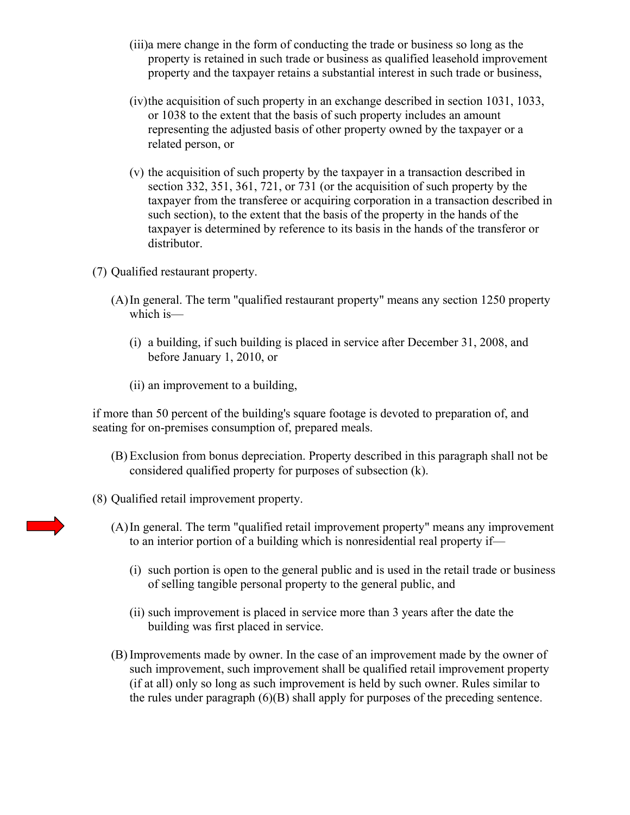- (iii)a mere change in the form of conducting the trade or business so long as the property is retained in such trade or business as qualified leasehold improvement property and the taxpayer retains a substantial interest in such trade or business,
- (iv)the acquisition of such property in an exchange described in section 1031, 1033, or 1038 to the extent that the basis of such property includes an amount representing the adjusted basis of other property owned by the taxpayer or a related person, or
- (v) the acquisition of such property by the taxpayer in a transaction described in section 332, 351, 361, 721, or 731 (or the acquisition of such property by the taxpayer from the transferee or acquiring corporation in a transaction described in such section), to the extent that the basis of the property in the hands of the taxpayer is determined by reference to its basis in the hands of the transferor or distributor.
- (7) Qualified restaurant property.
	- (A)In general. The term "qualified restaurant property" means any section 1250 property which is—
		- (i) a building, if such building is placed in service after December 31, 2008, and before January 1, 2010, or
		- (ii) an improvement to a building,

if more than 50 percent of the building's square footage is devoted to preparation of, and seating for on-premises consumption of, prepared meals.

- (B) Exclusion from bonus depreciation. Property described in this paragraph shall not be considered qualified property for purposes of subsection (k).
- (8) Qualified retail improvement property.
	- (A)In general. The term "qualified retail improvement property" means any improvement to an interior portion of a building which is nonresidential real property if—
		- (i) such portion is open to the general public and is used in the retail trade or business of selling tangible personal property to the general public, and
		- (ii) such improvement is placed in service more than 3 years after the date the building was first placed in service.
	- (B) Improvements made by owner. In the case of an improvement made by the owner of such improvement, such improvement shall be qualified retail improvement property (if at all) only so long as such improvement is held by such owner. Rules similar to the rules under paragraph (6)(B) shall apply for purposes of the preceding sentence.